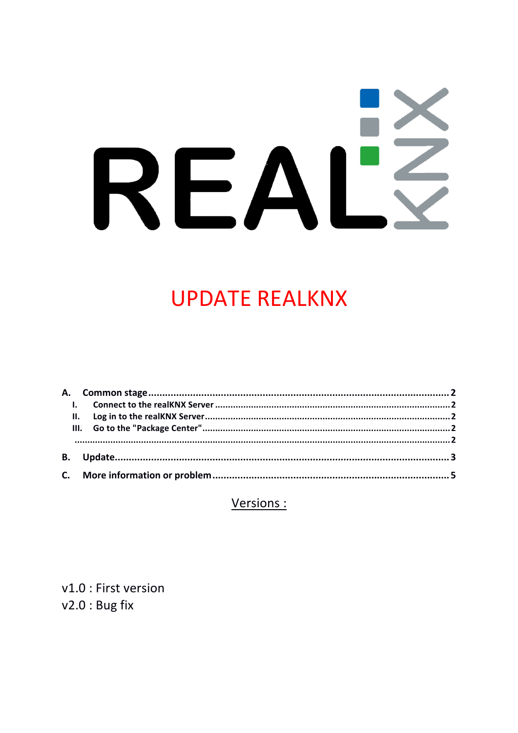# IZ REAI

# **UPDATE REALKNX**

Versions :

v1.0 : First version  $v2.0:$  Bug fix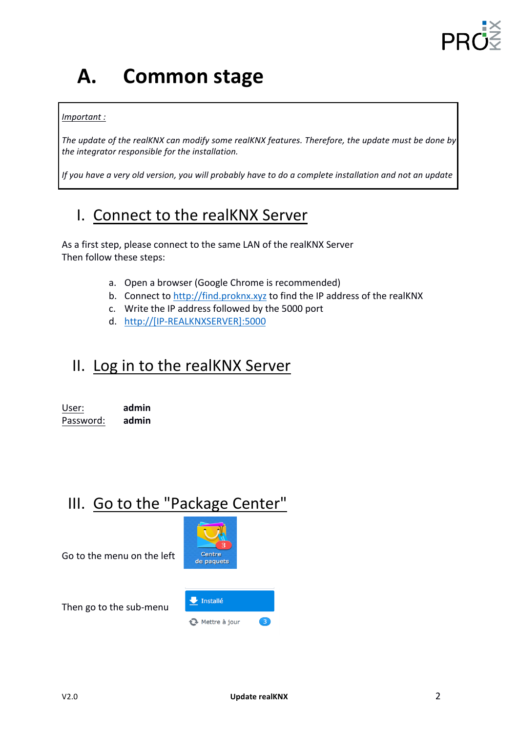

# **A. Common stage**

#### *Important :*

The update of the realKNX can modify some realKNX features. Therefore, the update must be done by the integrator responsible for the installation.

*If* you have a very old version, you will probably have to do a complete installation and not an update

## I. Connect to the realKNX Server

As a first step, please connect to the same LAN of the realKNX Server Then follow these steps:

- a. Open a browser (Google Chrome is recommended)
- b. Connect to http://find.proknx.xyz to find the IP address of the realKNX
- c. Write the IP address followed by the 5000 port
- d. http://[IP-REALKNXSERVER]:5000

### II. Log in to the realKNX Server

| User:     | admin |
|-----------|-------|
| Password: | admin |

## III. Go to the "Package Center"

Go to the menu on the left



**A** Mettre à jour

Then go to the sub-menu

 $\bullet$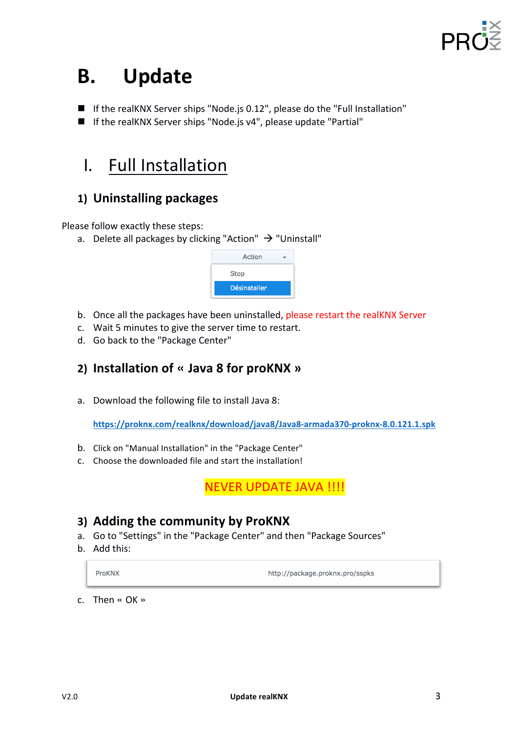

# **B. Update**

- $\blacksquare$  If the realKNX Server ships "Node.js 0.12", please do the "Full Installation"
- $\blacksquare$  If the realKNX Server ships "Node.js v4", please update "Partial"

## I. Full Installation

#### **1) Uninstalling packages**

Please follow exactly these steps:

a. Delete all packages by clicking "Action"  $\rightarrow$  "Uninstall"



- b. Once all the packages have been uninstalled, please restart the realKNX Server
- c. Wait 5 minutes to give the server time to restart.
- d. Go back to the "Package Center"

#### **2) Installation of « Java 8 for proKNX »**

a. Download the following file to install Java 8:

**https://proknx.com/realknx/download/java8/Java8-armada370-proknx-8.0.121.1.spk**

- b. Click on "Manual Installation" in the "Package Center"
- c. Choose the downloaded file and start the installation!

NEVER UPDATE JAVA !!!!

#### **3)** Adding the community by ProKNX

- a. Go to "Settings" in the "Package Center" and then "Package Sources"
- b. Add this:

ProKNX

http://package.proknx.pro/sspks

c. Then « OK »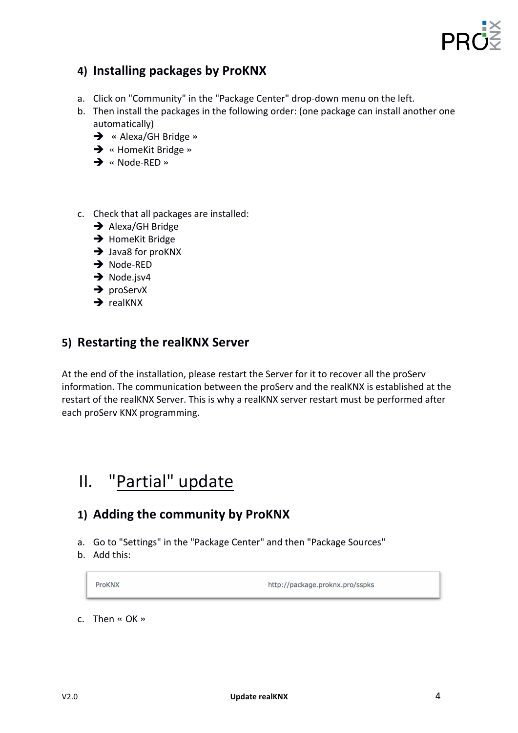

#### **4) Installing packages by ProKNX**

- a. Click on "Community" in the "Package Center" drop-down menu on the left.
- b. Then install the packages in the following order: (one package can install another one automatically)
	- → « Alexa/GH Bridge »
	- $\rightarrow$  « HomeKit Bridge »
	- $\rightarrow$  « Node-RED »
- c. Check that all packages are installed:
	- $\rightarrow$  Alexa/GH Bridge
	- $\rightarrow$  HomeKit Bridge
	- $\rightarrow$  Java8 for proKNX
	- $\rightarrow$  Node-RED
	- $\rightarrow$  Node.jsv4
	- $\rightarrow$  proServX
	- $\rightarrow$  realKNX

#### **5)** Restarting the realKNX Server

At the end of the installation, please restart the Server for it to recover all the proServ information. The communication between the proServ and the realKNX is established at the restart of the realKNX Server. This is why a realKNX server restart must be performed after each proServ KNX programming.

## II. "Partial" update

#### **1)** Adding the community by ProKNX

- a. Go to "Settings" in the "Package Center" and then "Package Sources"
- b. Add this:

ProKNX

http://package.proknx.pro/sspks

c. Then « OK »